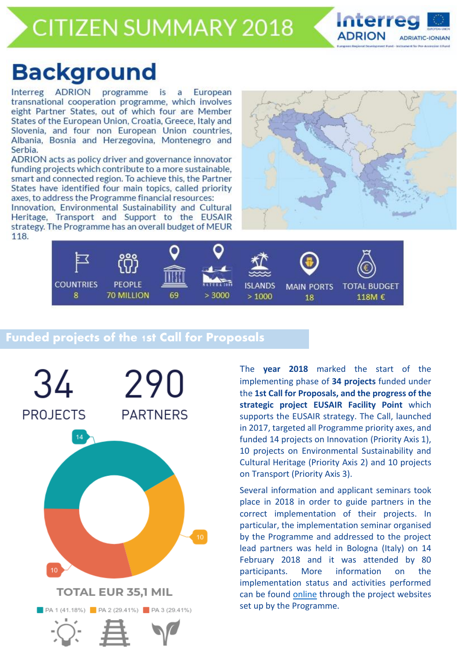## **CITIZEN SUMMARY 2018**



# **Background**

Interreg ADRION programme is European  $\overline{a}$ transnational cooperation programme, which involves eight Partner States, out of which four are Member States of the European Union, Croatia, Greece, Italy and Slovenia, and four non European Union countries, Albania, Bosnia and Herzegovina, Montenegro and Serbia.

ADRION acts as policy driver and governance innovator funding projects which contribute to a more sustainable, smart and connected region. To achieve this, the Partner States have identified four main topics, called priority axes, to address the Programme financial resources:

Innovation, Environmental Sustainability and Cultural Heritage, Transport and Support to the EUSAIR strategy. The Programme has an overall budget of MEUR 118.





## **Funded projects of the 1st Call for Proposals**



The **year 2018** marked the start of the implementing phase of **34 projects** funded under the **1st Call for Proposals, and the progress of the strategic project EUSAIR Facility Point** which supports the EUSAIR strategy. The Call, launched in 2017, targeted all Programme priority axes, and funded 14 projects on Innovation (Priority Axis 1), 10 projects on Environmental Sustainability and Cultural Heritage (Priority Axis 2) and 10 projects on Transport (Priority Axis 3).

Several information and applicant seminars took place in 2018 in order to guide partners in the correct implementation of their projects. In particular, the implementation seminar organised by the Programme and addressed to the project lead partners was held in Bologna (Italy) on 14 February 2018 and it was attended by 80 participants. More information on the implementation status and activities performed can be found [online](https://www.adrioninterreg.eu/index.php/projects/project-websites/) through the project websites set up by the Programme.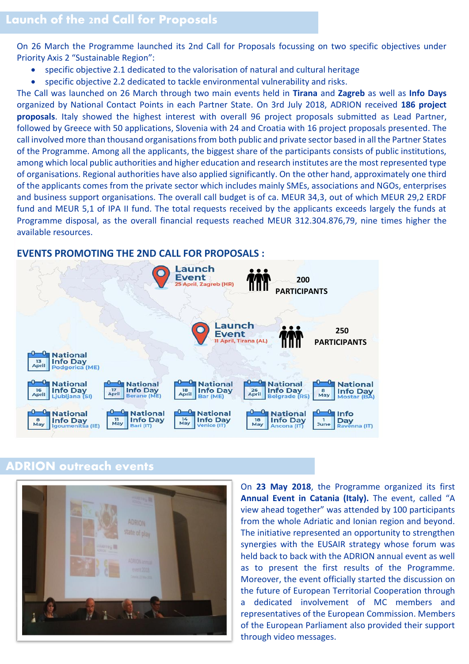On 26 March the Programme launched its 2nd Call for Proposals focussing on two specific objectives under Priority Axis 2 "Sustainable Region":

- specific objective 2.1 dedicated to the valorisation of natural and cultural heritage
- specific objective 2.2 dedicated to tackle environmental vulnerability and risks.

The Call was launched on 26 March through two main events held in **Tirana** and **Zagreb** as well as **Info Days** organized by National Contact Points in each Partner State. On 3rd July 2018, ADRION received **186 project proposals**. Italy showed the highest interest with overall 96 project proposals submitted as Lead Partner, followed by Greece with 50 applications, Slovenia with 24 and Croatia with 16 project proposals presented. The call involved more than thousand organisations from both public and private sector based in all the Partner States of the Programme. Among all the applicants, the biggest share of the participants consists of public institutions, among which local public authorities and higher education and research institutes are the most represented type of organisations. Regional authorities have also applied significantly. On the other hand, approximately one third of the applicants comes from the private sector which includes mainly SMEs, associations and NGOs, enterprises and business support organisations. The overall call budget is of ca. MEUR 34,3, out of which MEUR 29,2 ERDF fund and MEUR 5,1 of IPA II fund. The total requests received by the applicants exceeds largely the funds at Programme disposal, as the overall financial requests reached MEUR 312.304.876,79, nine times higher the available resources.

#### **EVENTS PROMOTING THE 2ND CALL FOR PROPOSALS :**



## **ADRION outreach events**

![](_page_1_Picture_8.jpeg)

On **23 May 2018**, the Programme organized its first **Annual Event in Catania (Italy).** The event, called "A view ahead together" was attended by 100 participants from the whole Adriatic and Ionian region and beyond. The initiative represented an opportunity to strengthen synergies with the EUSAIR strategy whose forum was held back to back with the ADRION annual event as well as to present the first results of the Programme. Moreover, the event officially started the discussion on the future of European Territorial Cooperation through a dedicated involvement of MC members and representatives of the European Commission. Members of the European Parliament also provided their support through video messages.